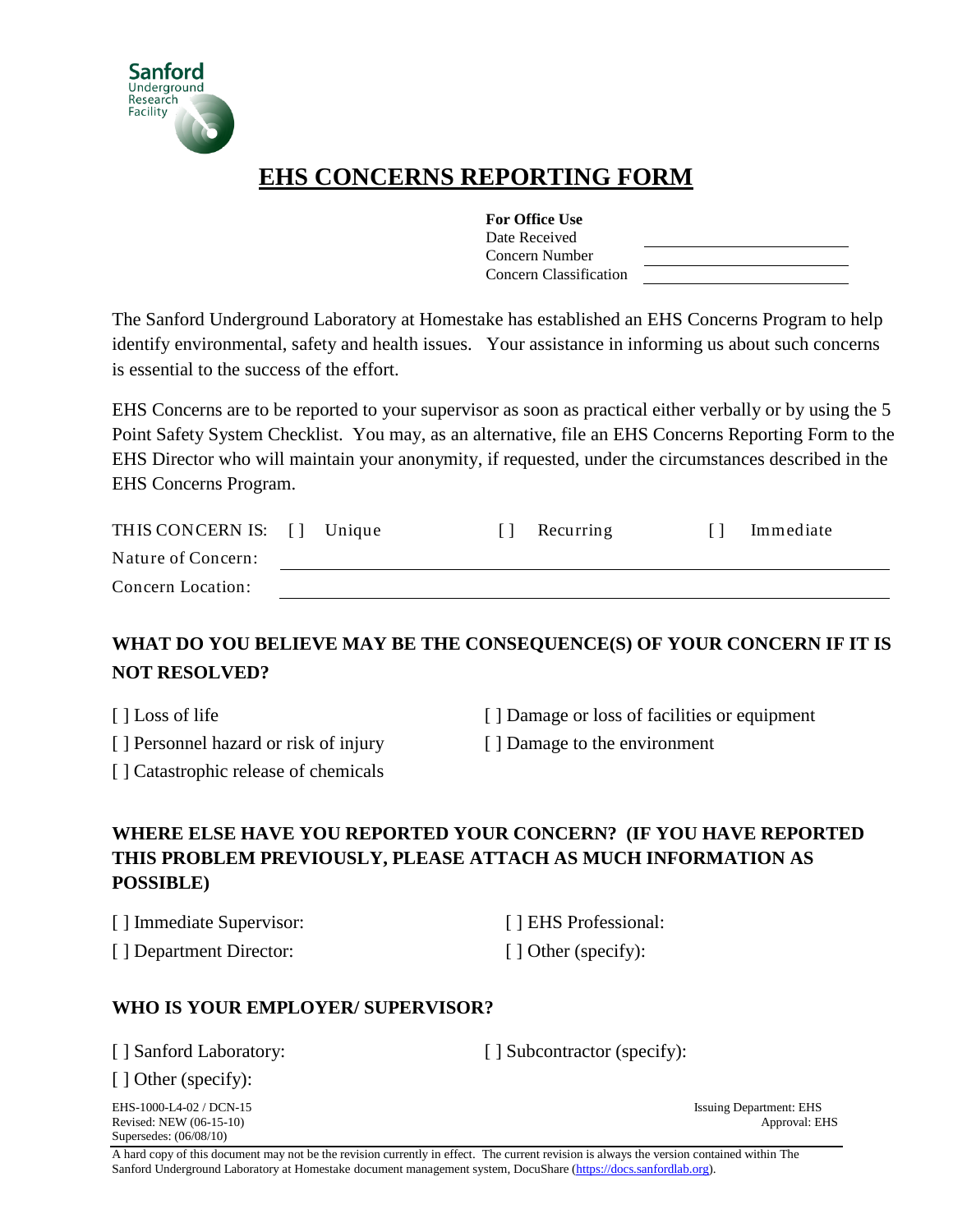

# **EHS CONCERNS REPORTING FORM**

| <b>For Office Use</b>  |  |
|------------------------|--|
| Date Received          |  |
| Concern Number         |  |
| Concern Classification |  |

The Sanford Underground Laboratory at Homestake has established an EHS Concerns Program to help identify environmental, safety and health issues. Your assistance in informing us about such concerns is essential to the success of the effort.

EHS Concerns are to be reported to your supervisor as soon as practical either verbally or by using the 5 Point Safety System Checklist. You may, as an alternative, file an EHS Concerns Reporting Form to the EHS Director who will maintain your anonymity, if requested, under the circumstances described in the EHS Concerns Program.

| THIS CONCERN IS: [] | Unique | Recurring | Immediate |
|---------------------|--------|-----------|-----------|
| Nature of Concern:  |        |           |           |
| Concern Location:   |        |           |           |

## **WHAT DO YOU BELIEVE MAY BE THE CONSEQUENCE(S) OF YOUR CONCERN IF IT IS NOT RESOLVED?**

- 
- [ ] Personnel hazard or risk of injury [ ] Damage to the environment
- [ ] Loss of life [ ] Damage or loss of facilities or equipment
	-
- [ ] Catastrophic release of chemicals
- **WHERE ELSE HAVE YOU REPORTED YOUR CONCERN? (IF YOU HAVE REPORTED THIS PROBLEM PREVIOUSLY, PLEASE ATTACH AS MUCH INFORMATION AS POSSIBLE)**
- [ ] Immediate Supervisor: [ ] EHS Professional: [ ] Department Director: [ ] Other (specify):

### **WHO IS YOUR EMPLOYER/ SUPERVISOR?**

[ ] Sanford Laboratory: [ ] Subcontractor (specify):

[ ] Other (specify):

EHS-1000-L4-02 / DCN-15 Issuing Department: EHS<br>Revised: NEW (06-15-10) Approval: EHS<br>Approval: EHS Revised: NEW (06-15-10) Supersedes: (06/08/10)

A hard copy of this document may not be the revision currently in effect. The current revision is always the version contained within The Sanford Underground Laboratory at Homestake document management system, DocuShare (https://docs.sanfordlab.org).